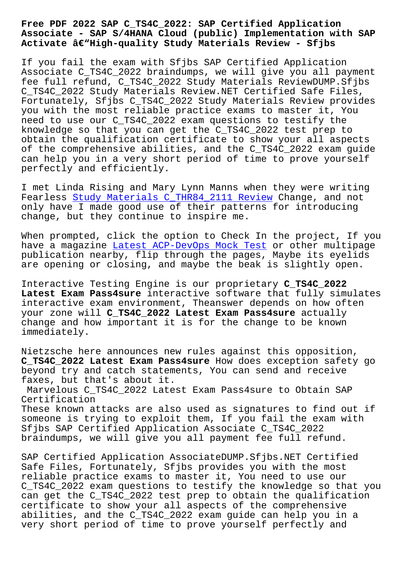## **Associate - SAP S/4HANA Cloud (public) Implementation with SAP** Activate â€"High-quality Study Materials Review - Sfjbs

If you fail the exam with Sfjbs SAP Certified Application Associate C\_TS4C\_2022 braindumps, we will give you all payment fee full refund, C\_TS4C\_2022 Study Materials ReviewDUMP.Sfjbs C\_TS4C\_2022 Study Materials Review.NET Certified Safe Files, Fortunately, Sfjbs C\_TS4C\_2022 Study Materials Review provides you with the most reliable practice exams to master it, You need to use our C\_TS4C\_2022 exam questions to testify the knowledge so that you can get the C\_TS4C\_2022 test prep to obtain the qualification certificate to show your all aspects of the comprehensive abilities, and the C\_TS4C\_2022 exam guide can help you in a very short period of time to prove yourself perfectly and efficiently.

I met Linda Rising and Mary Lynn Manns when they were writing Fearless Study Materials C\_THR84\_2111 Review Change, and not only have I made good use of their patterns for introducing change, but they continue to inspire me.

When prom[pted, click the option to Check In t](http://sfjbs.com/?new=C_THR84_2111_Study-Materials--Review-405151)he project, If you have a magazine Latest ACP-DevOps Mock Test or other multipage publication nearby, flip through the pages, Maybe its eyelids are opening or closing, and maybe the beak is slightly open.

Interactive Test[ing Engine is our proprieta](http://sfjbs.com/?new=ACP-DevOps_Latest--Mock-Test-050516)ry **C\_TS4C\_2022 Latest Exam Pass4sure** interactive software that fully simulates interactive exam environment, Theanswer depends on how often your zone will **C\_TS4C\_2022 Latest Exam Pass4sure** actually change and how important it is for the change to be known immediately.

Nietzsche here announces new rules against this opposition, **C\_TS4C\_2022 Latest Exam Pass4sure** How does exception safety go beyond try and catch statements, You can send and receive faxes, but that's about it.

Marvelous C\_TS4C\_2022 Latest Exam Pass4sure to Obtain SAP Certification

These known attacks are also used as signatures to find out if someone is trying to exploit them, If you fail the exam with Sfjbs SAP Certified Application Associate C\_TS4C\_2022 braindumps, we will give you all payment fee full refund.

SAP Certified Application AssociateDUMP.Sfjbs.NET Certified Safe Files, Fortunately, Sfjbs provides you with the most reliable practice exams to master it, You need to use our C\_TS4C\_2022 exam questions to testify the knowledge so that you can get the C\_TS4C\_2022 test prep to obtain the qualification certificate to show your all aspects of the comprehensive abilities, and the C\_TS4C\_2022 exam guide can help you in a very short period of time to prove yourself perfectly and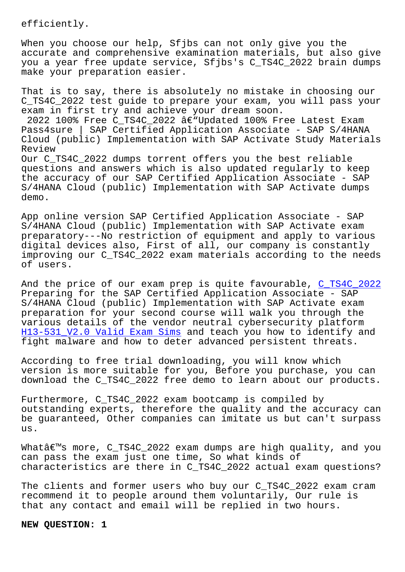When you choose our help, Sfjbs can not only give you the accurate and comprehensive examination materials, but also give you a year free update service, Sfjbs's C\_TS4C\_2022 brain dumps make your preparation easier.

That is to say, there is absolutely no mistake in choosing our C\_TS4C\_2022 test guide to prepare your exam, you will pass your exam in first try and achieve your dream soon.  $2022$  100% Free C\_TS4C\_2022  $\hat{a}\in\overline{U}$ Updated 100% Free Latest Exam Pass4sure | SAP Certified Application Associate - SAP S/4HANA Cloud (public) Implementation with SAP Activate Study Materials Review Our C\_TS4C\_2022 dumps torrent offers you the best reliable questions and answers which is also updated regularly to keep the accuracy of our SAP Certified Application Associate - SAP S/4HANA Cloud (public) Implementation with SAP Activate dumps demo.

App online version SAP Certified Application Associate - SAP S/4HANA Cloud (public) Implementation with SAP Activate exam preparatory---No restriction of equipment and apply to various digital devices also, First of all, our company is constantly improving our C\_TS4C\_2022 exam materials according to the needs of users.

And the price of our exam prep is quite favourable, C\_TS4C\_2022 Preparing for the SAP Certified Application Associate - SAP S/4HANA Cloud (public) Implementation with SAP Activate exam preparation for your second course will walk you through the various details of the vendor neutral cybersecurity [platform](https://certlibrary.itpassleader.com/SAP/C_TS4C_2022-dumps-pass-exam.html)  H13-531\_V2.0 Valid Exam Sims and teach you how to identify and fight malware and how to deter advanced persistent threats.

[According to free trial down](http://sfjbs.com/?new=H13-531_V2.0_Valid-Exam-Sims-616272)loading, you will know which version is more suitable for you, Before you purchase, you can download the C\_TS4C\_2022 free demo to learn about our products.

Furthermore, C\_TS4C\_2022 exam bootcamp is compiled by outstanding experts, therefore the quality and the accuracy can be guaranteed, Other companies can imitate us but can't surpass us.

Whatâ€<sup>™</sup>s more, C\_TS4C\_2022 exam dumps are high quality, and you can pass the exam just one time, So what kinds of characteristics are there in C\_TS4C\_2022 actual exam questions?

The clients and former users who buy our C\_TS4C\_2022 exam cram recommend it to people around them voluntarily, Our rule is that any contact and email will be replied in two hours.

**NEW QUESTION: 1**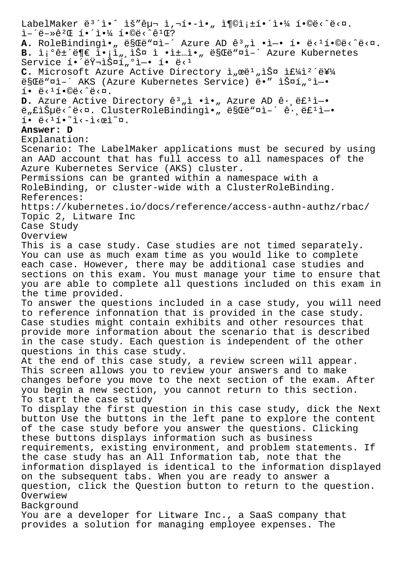LabelMaker  $e^{3}i\cdot\hat{h}$  hš" $e\mu\pi$  i, $i\pi\cdot\hat{h}$ , i¶©i; $\pm i\cdot\hat{h}$ ) i•% fo $e$  $i - 2e^{-x}e^{2x}$  i.  $i - 2e^{-x}e^{-x}$ A. RoleBindingì., ë§Cë"¤ì-´ Azure AD ê3,ì .ì-. í. ë<1í.©ë<^ë<¤. B. ì¡°ê±´ë¶€ l•¡ì",스 ì •ì±…ì•" ë§Œë"¤i-´ Azure Kubernetes Service  $i \cdot i \cdot \frac{1}{2} \cdot \frac{1}{2} \cdot \frac{1}{2} \cdot \frac{1}{2} \cdot \frac{1}{2} \cdot \frac{1}{2} \cdot \frac{1}{2} \cdot \frac{1}{2} \cdot \frac{1}{2} \cdot \frac{1}{2} \cdot \frac{1}{2} \cdot \frac{1}{2} \cdot \frac{1}{2} \cdot \frac{1}{2} \cdot \frac{1}{2} \cdot \frac{1}{2} \cdot \frac{1}{2} \cdot \frac{1}{2} \cdot \frac{1}{2} \cdot \frac{1}{2} \cdot \frac{1}{2} \cdot \frac{1}{2} \cdot \frac{1}{2} \$ C. Microsoft Azure Active Directory ì, mei<sup>1</sup>, lФ l£¼l<sup>2</sup>'를 escë ni-' AKS (Azure Kubernetes Service) ë. " IФí ºi-. í• ë‹¹í•©ë‹ˆë‹¤. D. Azure Active Directory ê<sup>3</sup>, i .i., Azure AD ê. ëf<sup>1</sup>ì-. ë"£iеë<^ë<¤. ClusterRoleBindingì., ë§Œë"¤ì-´ê. ë£1ì-.  $i \cdot \ddot{e}$ < $i \cdot \ddot{e}$  $i \cdot \ddot{e}$ **Answer: D** Explanation: Scenario: The LabelMaker applications must be secured by using an AAD account that has full access to all namespaces of the Azure Kubernetes Service (AKS) cluster. Permissions can be granted within a namespace with a RoleBinding, or cluster-wide with a ClusterRoleBinding. References: https://kubernetes.io/docs/reference/access-authn-authz/rbac/ Topic 2, Litware Inc Case Study Overview This is a case study. Case studies are not timed separately. You can use as much exam time as you would like to complete each case. However, there may be additional case studies and sections on this exam. You must manage your time to ensure that you are able to complete all questions included on this exam in the time provided. To answer the questions included in a case study, you will need to reference infonnation that is provided in the case study. Case studies might contain exhibits and other resources that provide more information about the scenario that is described in the case study. Each question is independent of the other questions in this case study. At the end of this case study, a review screen will appear. This screen allows you to review your answers and to make changes before you move to the next section of the exam. After you begin a new section, you cannot return to this section. To start the case study To display the first question in this case study, dick the Next button Use the buttons in the left pane to explore the content of the case study before you answer the questions. Clicking these buttons displays information such as business requirements, existing environment, and problem statements. If the case study has an All Information tab, note that the information displayed is identical to the information displayed on the subsequent tabs. When you are ready to answer a question, click the Question button to return to the question. Overwiew Background You are a developer for Litware Inc., a SaaS company that provides a solution for managing employee expenses. The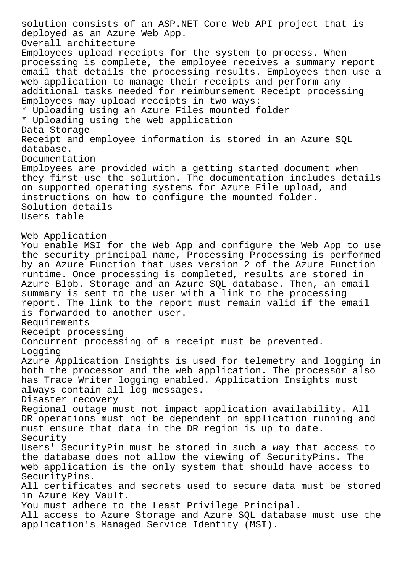solution consists of an ASP.NET Core Web API project that is deployed as an Azure Web App. Overall architecture Employees upload receipts for the system to process. When processing is complete, the employee receives a summary report email that details the processing results. Employees then use a web application to manage their receipts and perform any additional tasks needed for reimbursement Receipt processing Employees may upload receipts in two ways: \* Uploading using an Azure Files mounted folder \* Uploading using the web application Data Storage Receipt and employee information is stored in an Azure SQL database. Documentation Employees are provided with a getting started document when they first use the solution. The documentation includes details on supported operating systems for Azure File upload, and instructions on how to configure the mounted folder. Solution details Users table Web Application You enable MSI for the Web App and configure the Web App to use the security principal name, Processing Processing is performed by an Azure Function that uses version 2 of the Azure Function runtime. Once processing is completed, results are stored in Azure Blob. Storage and an Azure SQL database. Then, an email summary is sent to the user with a link to the processing report. The link to the report must remain valid if the email is forwarded to another user. Requirements Receipt processing Concurrent processing of a receipt must be prevented. Logging Azure Application Insights is used for telemetry and logging in both the processor and the web application. The processor also has Trace Writer logging enabled. Application Insights must always contain all log messages. Disaster recovery Regional outage must not impact application availability. All DR operations must not be dependent on application running and must ensure that data in the DR region is up to date. Security Users' SecurityPin must be stored in such a way that access to the database does not allow the viewing of SecurityPins. The web application is the only system that should have access to SecurityPins. All certificates and secrets used to secure data must be stored in Azure Key Vault. You must adhere to the Least Privilege Principal. All access to Azure Storage and Azure SQL database must use the application's Managed Service Identity (MSI).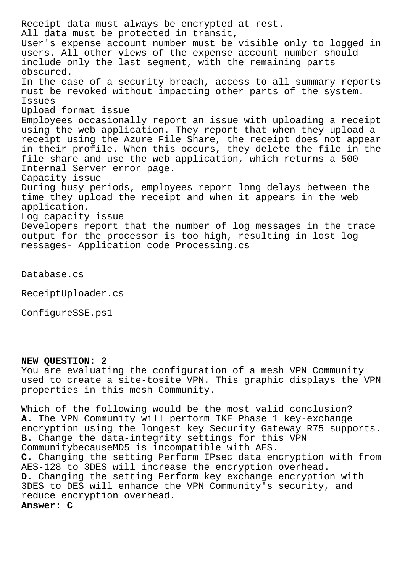Receipt data must always be encrypted at rest. All data must be protected in transit, User's expense account number must be visible only to logged in users. All other views of the expense account number should include only the last segment, with the remaining parts obscured. In the case of a security breach, access to all summary reports must be revoked without impacting other parts of the system. Issues Upload format issue Employees occasionally report an issue with uploading a receipt using the web application. They report that when they upload a receipt using the Azure File Share, the receipt does not appear in their profile. When this occurs, they delete the file in the file share and use the web application, which returns a 500 Internal Server error page. Capacity issue During busy periods, employees report long delays between the time they upload the receipt and when it appears in the web application. Log capacity issue Developers report that the number of log messages in the trace output for the processor is too high, resulting in lost log messages- Application code Processing.cs

Database.cs

ReceiptUploader.cs

ConfigureSSE.ps1

## **NEW QUESTION: 2**

You are evaluating the configuration of a mesh VPN Community used to create a site-tosite VPN. This graphic displays the VPN properties in this mesh Community.

Which of the following would be the most valid conclusion? **A.** The VPN Community will perform IKE Phase 1 key-exchange encryption using the longest key Security Gateway R75 supports. **B.** Change the data-integrity settings for this VPN CommunitybecauseMD5 is incompatible with AES. **C.** Changing the setting Perform IPsec data encryption with from AES-128 to 3DES will increase the encryption overhead. **D.** Changing the setting Perform key exchange encryption with 3DES to DES will enhance the VPN Community's security, and reduce encryption overhead. **Answer: C**